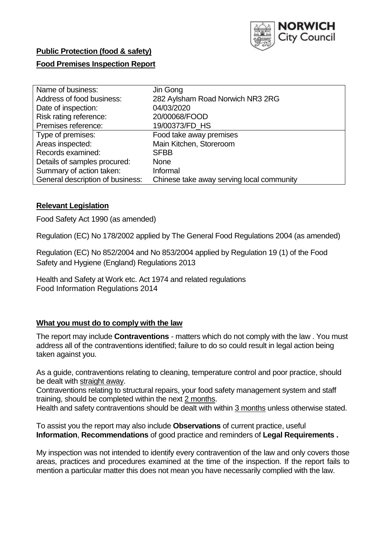

# **Public Protection (food & safety)**

## **Food Premises Inspection Report**

| Name of business:                | Jin Gong                                  |
|----------------------------------|-------------------------------------------|
| Address of food business:        | 282 Aylsham Road Norwich NR3 2RG          |
| Date of inspection:              | 04/03/2020                                |
| Risk rating reference:           | 20/00068/FOOD                             |
| Premises reference:              | 19/00373/FD_HS                            |
| Type of premises:                | Food take away premises                   |
| Areas inspected:                 | Main Kitchen, Storeroom                   |
| Records examined:                | <b>SFBB</b>                               |
| Details of samples procured:     | <b>None</b>                               |
| Summary of action taken:         | Informal                                  |
| General description of business: | Chinese take away serving local community |

#### **Relevant Legislation**

Food Safety Act 1990 (as amended)

Regulation (EC) No 178/2002 applied by The General Food Regulations 2004 (as amended)

Regulation (EC) No 852/2004 and No 853/2004 applied by Regulation 19 (1) of the Food Safety and Hygiene (England) Regulations 2013

Health and Safety at Work etc. Act 1974 and related regulations Food Information Regulations 2014

## **What you must do to comply with the law**

The report may include **Contraventions** - matters which do not comply with the law . You must address all of the contraventions identified; failure to do so could result in legal action being taken against you.

As a guide, contraventions relating to cleaning, temperature control and poor practice, should be dealt with straight away.

Contraventions relating to structural repairs, your food safety management system and staff training, should be completed within the next 2 months.

Health and safety contraventions should be dealt with within 3 months unless otherwise stated.

To assist you the report may also include **Observations** of current practice, useful **Information**, **Recommendations** of good practice and reminders of **Legal Requirements .**

My inspection was not intended to identify every contravention of the law and only covers those areas, practices and procedures examined at the time of the inspection. If the report fails to mention a particular matter this does not mean you have necessarily complied with the law.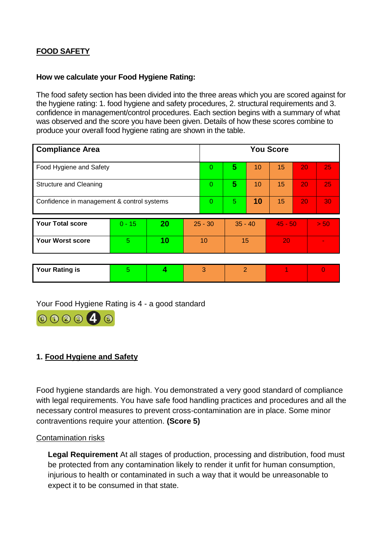## **FOOD SAFETY**

## **How we calculate your Food Hygiene Rating:**

The food safety section has been divided into the three areas which you are scored against for the hygiene rating: 1. food hygiene and safety procedures, 2. structural requirements and 3. confidence in management/control procedures. Each section begins with a summary of what was observed and the score you have been given. Details of how these scores combine to produce your overall food hygiene rating are shown in the table.

| <b>Compliance Area</b>                     |          |    |           | <b>You Score</b> |           |    |           |    |      |
|--------------------------------------------|----------|----|-----------|------------------|-----------|----|-----------|----|------|
| Food Hygiene and Safety                    |          |    |           | 0                | 5         | 10 | 15        | 20 | 25   |
| <b>Structure and Cleaning</b>              |          |    |           | $\Omega$         | 5         | 10 | 15        | 20 | 25   |
| Confidence in management & control systems |          |    | 0         | 5                | 10        | 15 | 20        | 30 |      |
| <b>Your Total score</b>                    | $0 - 15$ | 20 | $25 - 30$ |                  | $35 - 40$ |    | $45 - 50$ |    | > 50 |
| <b>Your Worst score</b>                    | 5        | 10 | 10        |                  | 15        |    | 20        |    |      |
|                                            |          |    |           |                  |           |    |           |    |      |

| <b>Your Rating is</b> |  |  |  |
|-----------------------|--|--|--|
|                       |  |  |  |

## Your Food Hygiene Rating is 4 - a good standard



## **1. Food Hygiene and Safety**

Food hygiene standards are high. You demonstrated a very good standard of compliance with legal requirements. You have safe food handling practices and procedures and all the necessary control measures to prevent cross-contamination are in place. Some minor contraventions require your attention. **(Score 5)**

#### Contamination risks

**Legal Requirement** At all stages of production, processing and distribution, food must be protected from any contamination likely to render it unfit for human consumption, injurious to health or contaminated in such a way that it would be unreasonable to expect it to be consumed in that state.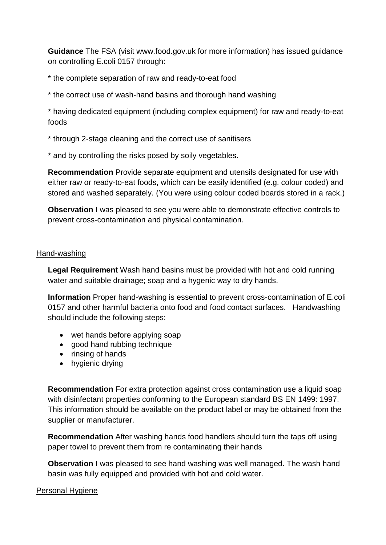**Guidance** The FSA (visit www.food.gov.uk for more information) has issued guidance on controlling E.coli 0157 through:

\* the complete separation of raw and ready-to-eat food

\* the correct use of wash-hand basins and thorough hand washing

\* having dedicated equipment (including complex equipment) for raw and ready-to-eat foods

\* through 2-stage cleaning and the correct use of sanitisers

\* and by controlling the risks posed by soily vegetables.

**Recommendation** Provide separate equipment and utensils designated for use with either raw or ready-to-eat foods, which can be easily identified (e.g. colour coded) and stored and washed separately. (You were using colour coded boards stored in a rack.)

**Observation** I was pleased to see you were able to demonstrate effective controls to prevent cross-contamination and physical contamination.

## Hand-washing

**Legal Requirement** Wash hand basins must be provided with hot and cold running water and suitable drainage; soap and a hygenic way to dry hands.

**Information** Proper hand-washing is essential to prevent cross-contamination of E.coli 0157 and other harmful bacteria onto food and food contact surfaces. Handwashing should include the following steps:

- wet hands before applying soap
- good hand rubbing technique
- $\bullet$  rinsing of hands
- hygienic drying

**Recommendation** For extra protection against cross contamination use a liquid soap with disinfectant properties conforming to the European standard BS EN 1499: 1997. This information should be available on the product label or may be obtained from the supplier or manufacturer.

**Recommendation** After washing hands food handlers should turn the taps off using paper towel to prevent them from re contaminating their hands

**Observation** I was pleased to see hand washing was well managed. The wash hand basin was fully equipped and provided with hot and cold water.

## Personal Hygiene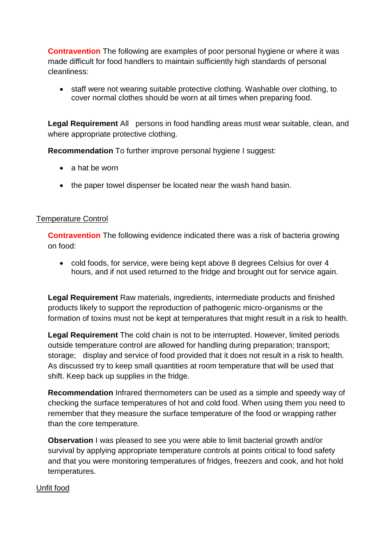**Contravention** The following are examples of poor personal hygiene or where it was made difficult for food handlers to maintain sufficiently high standards of personal cleanliness:

 staff were not wearing suitable protective clothing. Washable over clothing, to cover normal clothes should be worn at all times when preparing food.

**Legal Requirement** All persons in food handling areas must wear suitable, clean, and where appropriate protective clothing.

**Recommendation** To further improve personal hygiene I suggest:

- a hat be worn
- the paper towel dispenser be located near the wash hand basin.

## Temperature Control

**Contravention** The following evidence indicated there was a risk of bacteria growing on food:

 cold foods, for service, were being kept above 8 degrees Celsius for over 4 hours, and if not used returned to the fridge and brought out for service again.

**Legal Requirement** Raw materials, ingredients, intermediate products and finished products likely to support the reproduction of pathogenic micro-organisms or the formation of toxins must not be kept at temperatures that might result in a risk to health.

**Legal Requirement** The cold chain is not to be interrupted. However, limited periods outside temperature control are allowed for handling during preparation; transport; storage; display and service of food provided that it does not result in a risk to health. As discussed try to keep small quantities at room temperature that will be used that shift. Keep back up supplies in the fridge.

**Recommendation** Infrared thermometers can be used as a simple and speedy way of checking the surface temperatures of hot and cold food. When using them you need to remember that they measure the surface temperature of the food or wrapping rather than the core temperature.

**Observation** I was pleased to see you were able to limit bacterial growth and/or survival by applying appropriate temperature controls at points critical to food safety and that you were monitoring temperatures of fridges, freezers and cook, and hot hold temperatures.

## Unfit food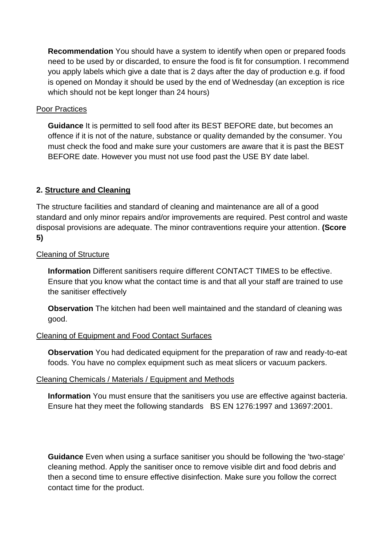**Recommendation** You should have a system to identify when open or prepared foods need to be used by or discarded, to ensure the food is fit for consumption. I recommend you apply labels which give a date that is 2 days after the day of production e.g. if food is opened on Monday it should be used by the end of Wednesday (an exception is rice which should not be kept longer than 24 hours)

## **Poor Practices**

**Guidance** It is permitted to sell food after its BEST BEFORE date, but becomes an offence if it is not of the nature, substance or quality demanded by the consumer. You must check the food and make sure your customers are aware that it is past the BEST BEFORE date. However you must not use food past the USE BY date label.

## **2. Structure and Cleaning**

The structure facilities and standard of cleaning and maintenance are all of a good standard and only minor repairs and/or improvements are required. Pest control and waste disposal provisions are adequate. The minor contraventions require your attention. **(Score 5)**

## Cleaning of Structure

**Information** Different sanitisers require different CONTACT TIMES to be effective. Ensure that you know what the contact time is and that all your staff are trained to use the sanitiser effectively

**Observation** The kitchen had been well maintained and the standard of cleaning was good.

## Cleaning of Equipment and Food Contact Surfaces

**Observation** You had dedicated equipment for the preparation of raw and ready-to-eat foods. You have no complex equipment such as meat slicers or vacuum packers.

## Cleaning Chemicals / Materials / Equipment and Methods

**Information** You must ensure that the sanitisers you use are effective against bacteria. Ensure hat they meet the following standards BS EN 1276:1997 and 13697:2001.

**Guidance** Even when using a surface sanitiser you should be following the 'two-stage' cleaning method. Apply the sanitiser once to remove visible dirt and food debris and then a second time to ensure effective disinfection. Make sure you follow the correct contact time for the product.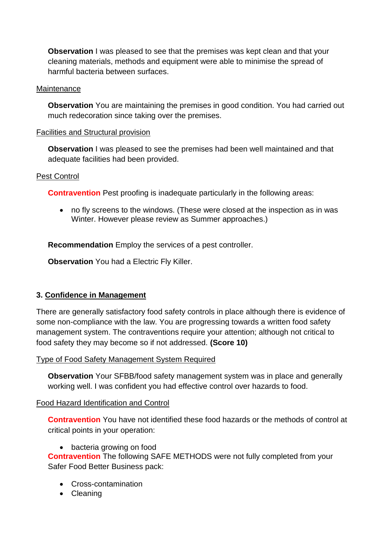**Observation** I was pleased to see that the premises was kept clean and that your cleaning materials, methods and equipment were able to minimise the spread of harmful bacteria between surfaces.

## **Maintenance**

**Observation** You are maintaining the premises in good condition. You had carried out much redecoration since taking over the premises.

## Facilities and Structural provision

**Observation** I was pleased to see the premises had been well maintained and that adequate facilities had been provided.

## Pest Control

**Contravention** Pest proofing is inadequate particularly in the following areas:

 no fly screens to the windows. (These were closed at the inspection as in was Winter. However please review as Summer approaches.)

**Recommendation** Employ the services of a pest controller.

**Observation** You had a Electric Fly Killer.

## **3. Confidence in Management**

There are generally satisfactory food safety controls in place although there is evidence of some non-compliance with the law. You are progressing towards a written food safety management system. The contraventions require your attention; although not critical to food safety they may become so if not addressed. **(Score 10)**

Type of Food Safety Management System Required

**Observation** Your SFBB/food safety management system was in place and generally working well. I was confident you had effective control over hazards to food.

## Food Hazard Identification and Control

**Contravention** You have not identified these food hazards or the methods of control at critical points in your operation:

bacteria growing on food

**Contravention** The following SAFE METHODS were not fully completed from your Safer Food Better Business pack:

- Cross-contamination
- Cleaning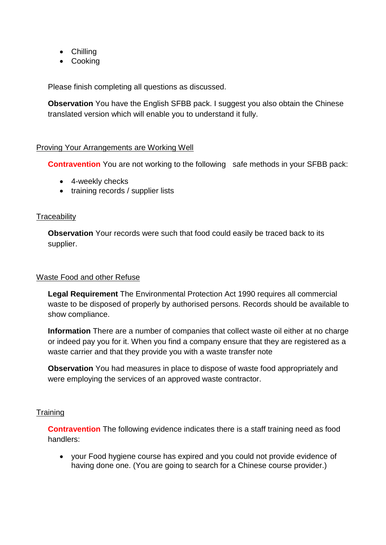- Chilling
- Cooking

Please finish completing all questions as discussed.

**Observation** You have the English SFBB pack. I suggest you also obtain the Chinese translated version which will enable you to understand it fully.

## Proving Your Arrangements are Working Well

**Contravention** You are not working to the following safe methods in your SFBB pack:

- 4-weekly checks
- training records / supplier lists

## **Traceability**

**Observation** Your records were such that food could easily be traced back to its supplier.

## Waste Food and other Refuse

**Legal Requirement** The Environmental Protection Act 1990 requires all commercial waste to be disposed of properly by authorised persons. Records should be available to show compliance.

**Information** There are a number of companies that collect waste oil either at no charge or indeed pay you for it. When you find a company ensure that they are registered as a waste carrier and that they provide you with a waste transfer note

**Observation** You had measures in place to dispose of waste food appropriately and were employing the services of an approved waste contractor.

## **Training**

**Contravention** The following evidence indicates there is a staff training need as food handlers:

 your Food hygiene course has expired and you could not provide evidence of having done one. (You are going to search for a Chinese course provider.)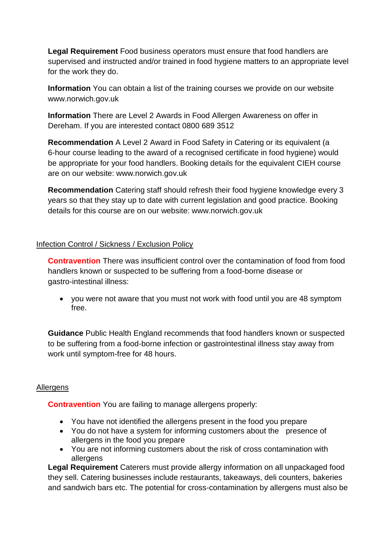**Legal Requirement** Food business operators must ensure that food handlers are supervised and instructed and/or trained in food hygiene matters to an appropriate level for the work they do.

**Information** You can obtain a list of the training courses we provide on our website www.norwich.gov.uk

**Information** There are Level 2 Awards in Food Allergen Awareness on offer in Dereham. If you are interested contact 0800 689 3512

**Recommendation** A Level 2 Award in Food Safety in Catering or its equivalent (a 6-hour course leading to the award of a recognised certificate in food hygiene) would be appropriate for your food handlers. Booking details for the equivalent CIEH course are on our website: www.norwich.gov.uk

**Recommendation** Catering staff should refresh their food hygiene knowledge every 3 years so that they stay up to date with current legislation and good practice. Booking details for this course are on our website: www.norwich.gov.uk

## Infection Control / Sickness / Exclusion Policy

**Contravention** There was insufficient control over the contamination of food from food handlers known or suspected to be suffering from a food-borne disease or gastro-intestinal illness:

 you were not aware that you must not work with food until you are 48 symptom free.

**Guidance** Public Health England recommends that food handlers known or suspected to be suffering from a food-borne infection or gastrointestinal illness stay away from work until symptom-free for 48 hours.

## Allergens

**Contravention** You are failing to manage allergens properly:

- You have not identified the allergens present in the food you prepare
- You do not have a system for informing customers about the presence of allergens in the food you prepare
- You are not informing customers about the risk of cross contamination with allergens

**Legal Requirement** Caterers must provide allergy information on all unpackaged food they sell. Catering businesses include restaurants, takeaways, deli counters, bakeries and sandwich bars etc. The potential for cross-contamination by allergens must also be